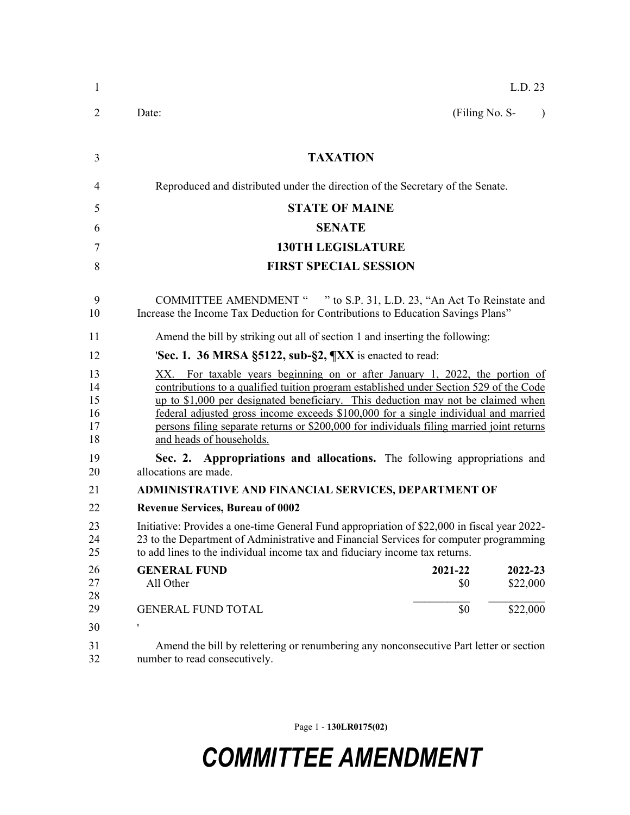| 1                                | L.D. 23                                                                                                                                                                                                                                                                                                                                                                                                                                                                   |
|----------------------------------|---------------------------------------------------------------------------------------------------------------------------------------------------------------------------------------------------------------------------------------------------------------------------------------------------------------------------------------------------------------------------------------------------------------------------------------------------------------------------|
| $\overline{2}$                   | (Filing No. S-<br>Date:<br>$\lambda$                                                                                                                                                                                                                                                                                                                                                                                                                                      |
| 3                                | <b>TAXATION</b>                                                                                                                                                                                                                                                                                                                                                                                                                                                           |
| 4                                | Reproduced and distributed under the direction of the Secretary of the Senate.                                                                                                                                                                                                                                                                                                                                                                                            |
| 5                                | <b>STATE OF MAINE</b>                                                                                                                                                                                                                                                                                                                                                                                                                                                     |
| 6                                | <b>SENATE</b>                                                                                                                                                                                                                                                                                                                                                                                                                                                             |
| 7                                | <b>130TH LEGISLATURE</b>                                                                                                                                                                                                                                                                                                                                                                                                                                                  |
| 8                                | <b>FIRST SPECIAL SESSION</b>                                                                                                                                                                                                                                                                                                                                                                                                                                              |
| 9<br>10                          | COMMITTEE AMENDMENT " " to S.P. 31, L.D. 23, "An Act To Reinstate and<br>Increase the Income Tax Deduction for Contributions to Education Savings Plans"                                                                                                                                                                                                                                                                                                                  |
| 11                               | Amend the bill by striking out all of section 1 and inserting the following:                                                                                                                                                                                                                                                                                                                                                                                              |
| 12                               | <b>Sec. 1. 36 MRSA §5122, sub-§2, <math>\frac{M}{X}</math></b> is enacted to read:                                                                                                                                                                                                                                                                                                                                                                                        |
| 13<br>14<br>15<br>16<br>17<br>18 | XX. For taxable years beginning on or after January 1, 2022, the portion of<br>contributions to a qualified tuition program established under Section 529 of the Code<br>up to \$1,000 per designated beneficiary. This deduction may not be claimed when<br>federal adjusted gross income exceeds \$100,000 for a single individual and married<br>persons filing separate returns or \$200,000 for individuals filing married joint returns<br>and heads of households. |
| 19<br>20                         | Sec. 2. Appropriations and allocations. The following appropriations and<br>allocations are made.                                                                                                                                                                                                                                                                                                                                                                         |
| 21                               | ADMINISTRATIVE AND FINANCIAL SERVICES, DEPARTMENT OF                                                                                                                                                                                                                                                                                                                                                                                                                      |
| 22                               | <b>Revenue Services, Bureau of 0002</b>                                                                                                                                                                                                                                                                                                                                                                                                                                   |
| 23<br>24<br>25                   | Initiative: Provides a one-time General Fund appropriation of \$22,000 in fiscal year 2022-<br>23 to the Department of Administrative and Financial Services for computer programming<br>to add lines to the individual income tax and fiduciary income tax returns.                                                                                                                                                                                                      |
| 26<br>27<br>28                   | <b>GENERAL FUND</b><br>2021-22<br>2022-23<br>All Other<br>\$22,000<br>\$0                                                                                                                                                                                                                                                                                                                                                                                                 |
| 29                               | \$22,000<br>\$0<br><b>GENERAL FUND TOTAL</b>                                                                                                                                                                                                                                                                                                                                                                                                                              |
| 30                               | ,                                                                                                                                                                                                                                                                                                                                                                                                                                                                         |
| 31<br>32                         | Amend the bill by relettering or renumbering any nonconsecutive Part letter or section<br>number to read consecutively.                                                                                                                                                                                                                                                                                                                                                   |

Page 1 - **130LR0175(02)**

## *COMMITTEE AMENDMENT*